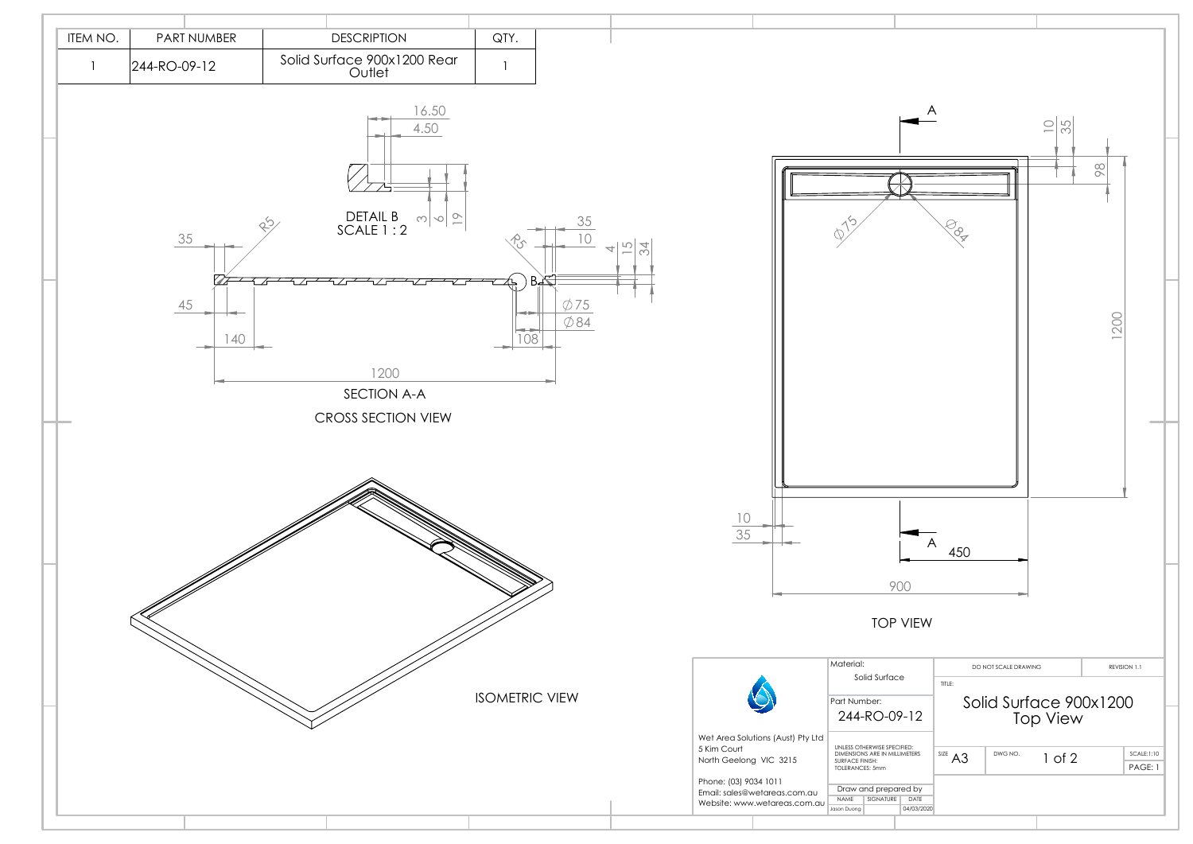

| A                                                     | <b>PRAIL</b>                              |                      | $\frac{10}{35}$ | $\frac{8}{2}$<br>1200 |                       |  |  |  |
|-------------------------------------------------------|-------------------------------------------|----------------------|-----------------|-----------------------|-----------------------|--|--|--|
| $\overline{A}$<br>$\overline{)0}$<br><b>VIEW</b><br>Э | 450<br>TITLE:                             | DO NOT SCALE DRAWING |                 |                       | REVISION 1.1          |  |  |  |
| $-12$                                                 | Solid Surface 900x1200<br><b>Top View</b> |                      |                 |                       |                       |  |  |  |
| FIED:<br>METERS                                       | SIZE $A3$                                 | DWG NO.              | $1$ of $2$      |                       | SCALE:1:10<br>PAGE: 1 |  |  |  |
| ed by<br>DATE<br>04/03/2020                           |                                           |                      |                 |                       |                       |  |  |  |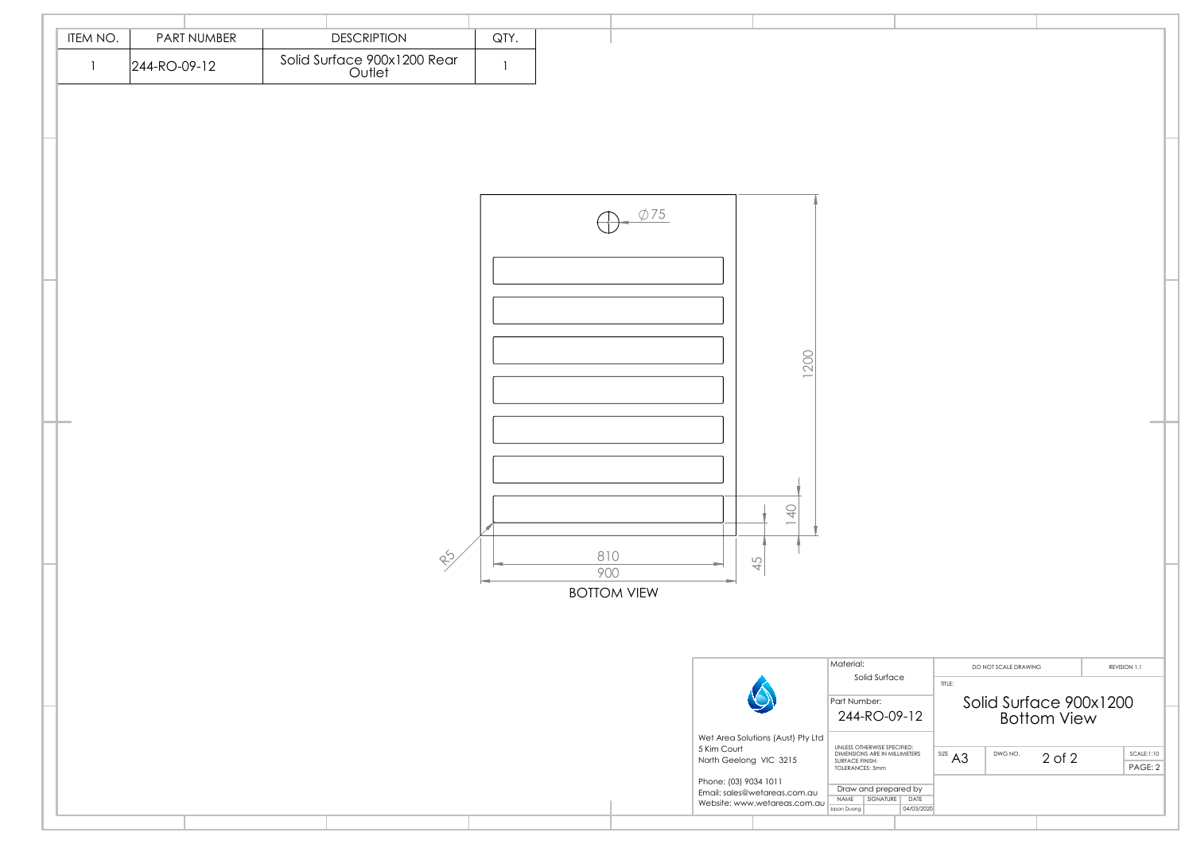

| Э                                  | DO NOT SCALE DRAWING<br>TITLE:               |  |  | REVISION 1.1 |                   |  |  |  |
|------------------------------------|----------------------------------------------|--|--|--------------|-------------------|--|--|--|
| $-12$                              | Solid Surface 900x1200<br><b>Bottom View</b> |  |  |              |                   |  |  |  |
| FIED:<br><b>METERS</b>             | DWG NO.                                      |  |  |              | <b>SCALE:1:10</b> |  |  |  |
|                                    | $SIZE$ $A3$<br>$2$ of $2$                    |  |  | PAGE: 2      |                   |  |  |  |
| ed by<br><b>DATE</b><br>04/03/2020 |                                              |  |  |              |                   |  |  |  |
|                                    |                                              |  |  |              |                   |  |  |  |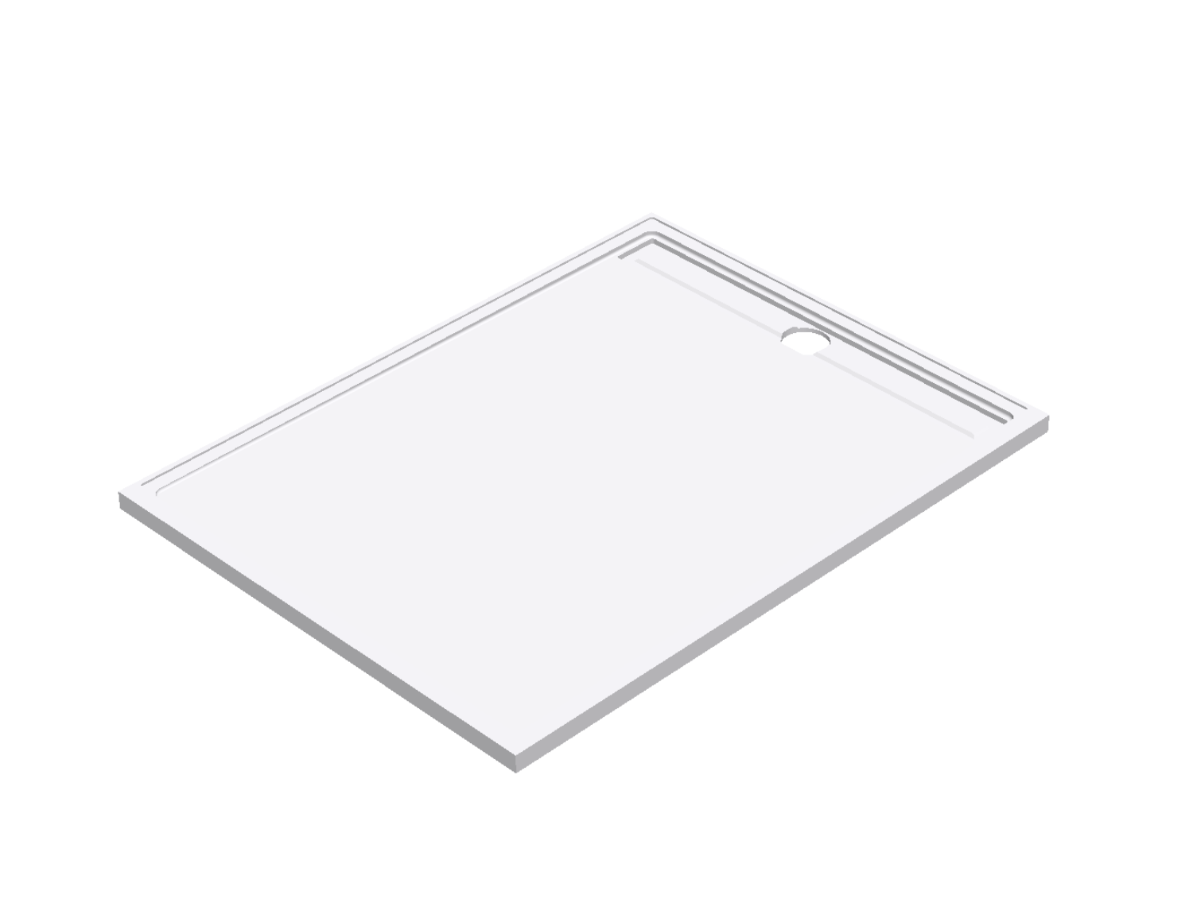